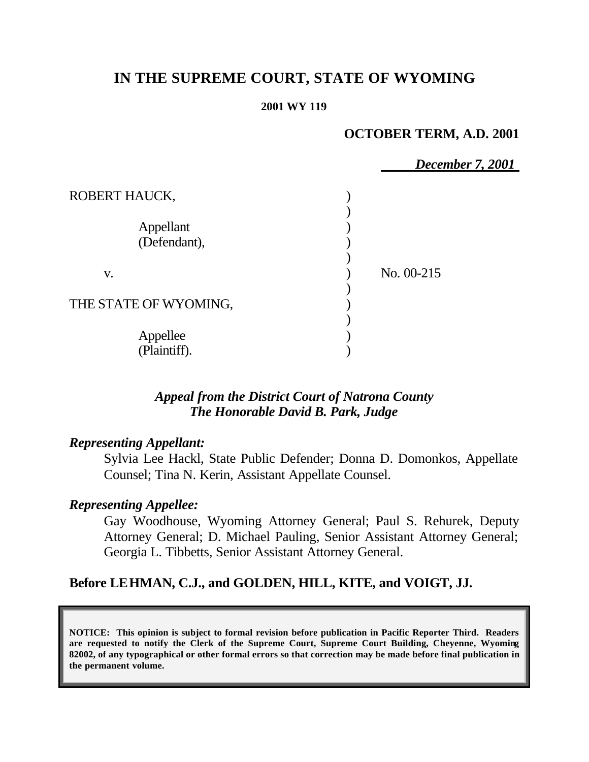# **IN THE SUPREME COURT, STATE OF WYOMING**

#### **2001 WY 119**

## **OCTOBER TERM, A.D. 2001**

|                           | <b>December 7, 2001</b> |  |
|---------------------------|-------------------------|--|
| ROBERT HAUCK,             |                         |  |
| Appellant<br>(Defendant), |                         |  |
| V.                        | No. 00-215              |  |
| THE STATE OF WYOMING,     |                         |  |
| Appellee<br>(Plaintiff).  |                         |  |

## *Appeal from the District Court of Natrona County The Honorable David B. Park, Judge*

# *Representing Appellant:*

Sylvia Lee Hackl, State Public Defender; Donna D. Domonkos, Appellate Counsel; Tina N. Kerin, Assistant Appellate Counsel.

# *Representing Appellee:*

Gay Woodhouse, Wyoming Attorney General; Paul S. Rehurek, Deputy Attorney General; D. Michael Pauling, Senior Assistant Attorney General; Georgia L. Tibbetts, Senior Assistant Attorney General.

# **Before LEHMAN, C.J., and GOLDEN, HILL, KITE, and VOIGT, JJ.**

**NOTICE: This opinion is subject to formal revision before publication in Pacific Reporter Third. Readers are requested to notify the Clerk of the Supreme Court, Supreme Court Building, Cheyenne, Wyoming 82002, of any typographical or other formal errors so that correction may be made before final publication in the permanent volume.**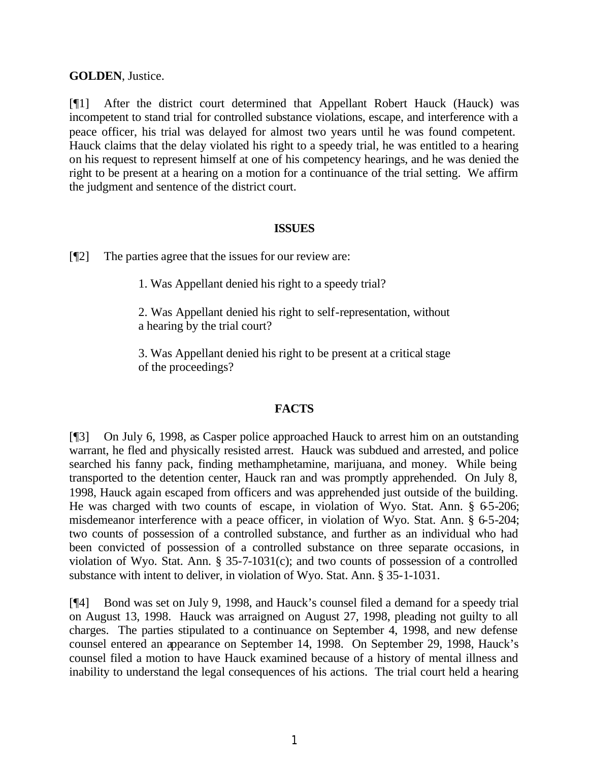### **GOLDEN**, Justice.

[¶1] After the district court determined that Appellant Robert Hauck (Hauck) was incompetent to stand trial for controlled substance violations, escape, and interference with a peace officer, his trial was delayed for almost two years until he was found competent. Hauck claims that the delay violated his right to a speedy trial, he was entitled to a hearing on his request to represent himself at one of his competency hearings, and he was denied the right to be present at a hearing on a motion for a continuance of the trial setting. We affirm the judgment and sentence of the district court.

#### **ISSUES**

[¶2] The parties agree that the issues for our review are:

1. Was Appellant denied his right to a speedy trial?

2. Was Appellant denied his right to self-representation, without a hearing by the trial court?

3. Was Appellant denied his right to be present at a critical stage of the proceedings?

### **FACTS**

[¶3] On July 6, 1998, as Casper police approached Hauck to arrest him on an outstanding warrant, he fled and physically resisted arrest. Hauck was subdued and arrested, and police searched his fanny pack, finding methamphetamine, marijuana, and money. While being transported to the detention center, Hauck ran and was promptly apprehended. On July 8, 1998, Hauck again escaped from officers and was apprehended just outside of the building. He was charged with two counts of escape, in violation of Wyo. Stat. Ann. § 65-206; misdemeanor interference with a peace officer, in violation of Wyo. Stat. Ann. § 6-5-204; two counts of possession of a controlled substance, and further as an individual who had been convicted of possession of a controlled substance on three separate occasions, in violation of Wyo. Stat. Ann. § 35-7-1031(c); and two counts of possession of a controlled substance with intent to deliver, in violation of Wyo. Stat. Ann. § 35-1-1031.

[¶4] Bond was set on July 9, 1998, and Hauck's counsel filed a demand for a speedy trial on August 13, 1998. Hauck was arraigned on August 27, 1998, pleading not guilty to all charges. The parties stipulated to a continuance on September 4, 1998, and new defense counsel entered an appearance on September 14, 1998. On September 29, 1998, Hauck's counsel filed a motion to have Hauck examined because of a history of mental illness and inability to understand the legal consequences of his actions. The trial court held a hearing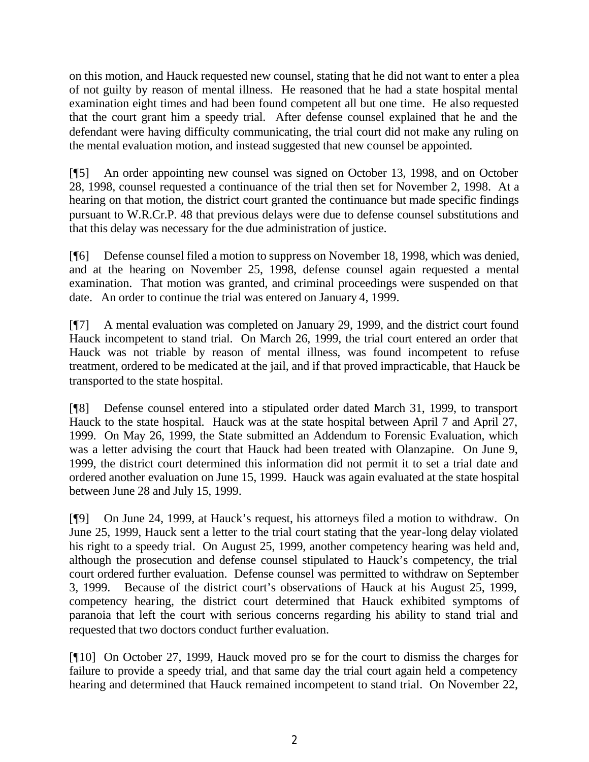on this motion, and Hauck requested new counsel, stating that he did not want to enter a plea of not guilty by reason of mental illness. He reasoned that he had a state hospital mental examination eight times and had been found competent all but one time. He also requested that the court grant him a speedy trial. After defense counsel explained that he and the defendant were having difficulty communicating, the trial court did not make any ruling on the mental evaluation motion, and instead suggested that new counsel be appointed.

[¶5] An order appointing new counsel was signed on October 13, 1998, and on October 28, 1998, counsel requested a continuance of the trial then set for November 2, 1998. At a hearing on that motion, the district court granted the continuance but made specific findings pursuant to W.R.Cr.P. 48 that previous delays were due to defense counsel substitutions and that this delay was necessary for the due administration of justice.

[¶6] Defense counsel filed a motion to suppress on November 18, 1998, which was denied, and at the hearing on November 25, 1998, defense counsel again requested a mental examination. That motion was granted, and criminal proceedings were suspended on that date. An order to continue the trial was entered on January 4, 1999.

[¶7] A mental evaluation was completed on January 29, 1999, and the district court found Hauck incompetent to stand trial. On March 26, 1999, the trial court entered an order that Hauck was not triable by reason of mental illness, was found incompetent to refuse treatment, ordered to be medicated at the jail, and if that proved impracticable, that Hauck be transported to the state hospital.

[¶8] Defense counsel entered into a stipulated order dated March 31, 1999, to transport Hauck to the state hospital. Hauck was at the state hospital between April 7 and April 27, 1999. On May 26, 1999, the State submitted an Addendum to Forensic Evaluation, which was a letter advising the court that Hauck had been treated with Olanzapine. On June 9, 1999, the district court determined this information did not permit it to set a trial date and ordered another evaluation on June 15, 1999. Hauck was again evaluated at the state hospital between June 28 and July 15, 1999.

[¶9] On June 24, 1999, at Hauck's request, his attorneys filed a motion to withdraw. On June 25, 1999, Hauck sent a letter to the trial court stating that the year-long delay violated his right to a speedy trial. On August 25, 1999, another competency hearing was held and, although the prosecution and defense counsel stipulated to Hauck's competency, the trial court ordered further evaluation. Defense counsel was permitted to withdraw on September 3, 1999. Because of the district court's observations of Hauck at his August 25, 1999, competency hearing, the district court determined that Hauck exhibited symptoms of paranoia that left the court with serious concerns regarding his ability to stand trial and requested that two doctors conduct further evaluation.

[¶10] On October 27, 1999, Hauck moved pro se for the court to dismiss the charges for failure to provide a speedy trial, and that same day the trial court again held a competency hearing and determined that Hauck remained incompetent to stand trial. On November 22,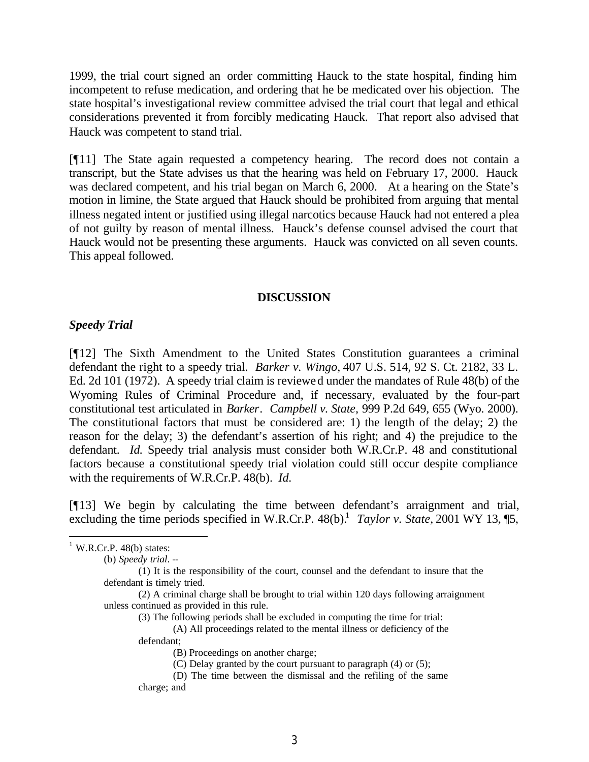1999, the trial court signed an order committing Hauck to the state hospital, finding him incompetent to refuse medication, and ordering that he be medicated over his objection. The state hospital's investigational review committee advised the trial court that legal and ethical considerations prevented it from forcibly medicating Hauck. That report also advised that Hauck was competent to stand trial.

[¶11] The State again requested a competency hearing. The record does not contain a transcript, but the State advises us that the hearing was held on February 17, 2000. Hauck was declared competent, and his trial began on March 6, 2000. At a hearing on the State's motion in limine, the State argued that Hauck should be prohibited from arguing that mental illness negated intent or justified using illegal narcotics because Hauck had not entered a plea of not guilty by reason of mental illness. Hauck's defense counsel advised the court that Hauck would not be presenting these arguments. Hauck was convicted on all seven counts. This appeal followed.

#### **DISCUSSION**

#### *Speedy Trial*

[¶12] The Sixth Amendment to the United States Constitution guarantees a criminal defendant the right to a speedy trial. *Barker v. Wingo,* 407 U.S. 514, 92 S. Ct. 2182, 33 L. Ed. 2d 101 (1972). A speedy trial claim is reviewed under the mandates of Rule 48(b) of the Wyoming Rules of Criminal Procedure and, if necessary, evaluated by the four-part constitutional test articulated in *Barker*. *Campbell v. State,* 999 P.2d 649, 655 (Wyo. 2000). The constitutional factors that must be considered are: 1) the length of the delay; 2) the reason for the delay; 3) the defendant's assertion of his right; and 4) the prejudice to the defendant. *Id.* Speedy trial analysis must consider both W.R.Cr.P. 48 and constitutional factors because a constitutional speedy trial violation could still occur despite compliance with the requirements of W.R.Cr.P. 48(b). *Id.*

[¶13] We begin by calculating the time between defendant's arraignment and trial, excluding the time periods specified in W.R.Cr.P.  $48(b)$ .<sup>1</sup> *Taylor v. State,* 2001 WY 13, [5,

(b) *Speedy trial*. --

(2) A criminal charge shall be brought to trial within 120 days following arraignment unless continued as provided in this rule.

(3) The following periods shall be excluded in computing the time for trial:

(A) All proceedings related to the mental illness or deficiency of the defendant;

 $1$  W.R.Cr.P. 48(b) states:

<sup>(1)</sup> It is the responsibility of the court, counsel and the defendant to insure that the defendant is timely tried.

<sup>(</sup>B) Proceedings on another charge;

<sup>(</sup>C) Delay granted by the court pursuant to paragraph (4) or (5);

<sup>(</sup>D) The time between the dismissal and the refiling of the same charge; and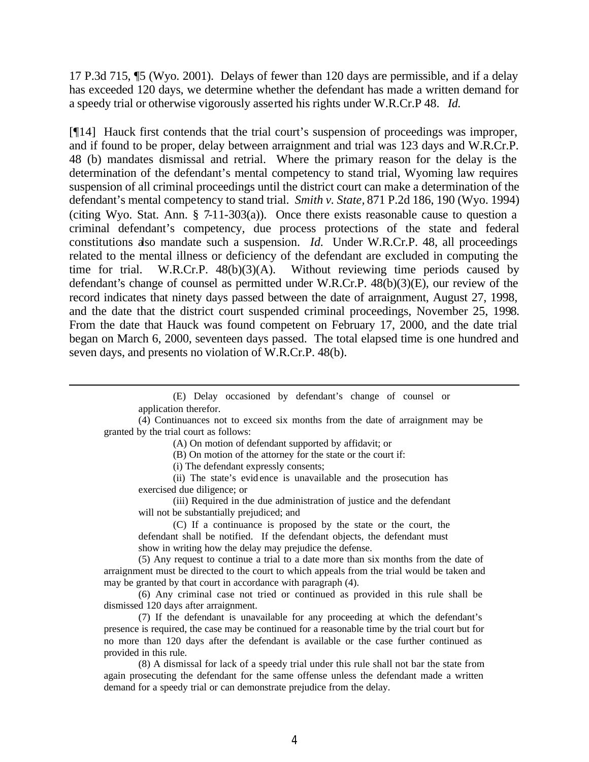17 P.3d 715, ¶5 (Wyo. 2001). Delays of fewer than 120 days are permissible, and if a delay has exceeded 120 days, we determine whether the defendant has made a written demand for a speedy trial or otherwise vigorously asserted his rights under W.R.Cr.P 48. *Id.* 

[¶14] Hauck first contends that the trial court's suspension of proceedings was improper, and if found to be proper, delay between arraignment and trial was 123 days and W.R.Cr.P. 48 (b) mandates dismissal and retrial. Where the primary reason for the delay is the determination of the defendant's mental competency to stand trial, Wyoming law requires suspension of all criminal proceedings until the district court can make a determination of the defendant's mental competency to stand trial. *Smith v. State,* 871 P.2d 186, 190 (Wyo. 1994) (citing Wyo. Stat. Ann.  $\S$  7-11-303(a)). Once there exists reasonable cause to question a criminal defendant's competency, due process protections of the state and federal constitutions also mandate such a suspension. *Id.* Under W.R.Cr.P. 48, all proceedings related to the mental illness or deficiency of the defendant are excluded in computing the time for trial. W.R.Cr.P.  $48(b)(3)(A)$ . Without reviewing time periods caused by defendant's change of counsel as permitted under W.R.Cr.P. 48(b)(3)(E), our review of the record indicates that ninety days passed between the date of arraignment, August 27, 1998, and the date that the district court suspended criminal proceedings, November 25, 1998. From the date that Hauck was found competent on February 17, 2000, and the date trial began on March 6, 2000, seventeen days passed. The total elapsed time is one hundred and seven days, and presents no violation of W.R.Cr.P. 48(b).

> (E) Delay occasioned by defendant's change of counsel or application therefor.

(4) Continuances not to exceed six months from the date of arraignment may be granted by the trial court as follows:

(A) On motion of defendant supported by affidavit; or

(B) On motion of the attorney for the state or the court if:

(i) The defendant expressly consents;

(ii) The state's evid ence is unavailable and the prosecution has exercised due diligence; or

(iii) Required in the due administration of justice and the defendant will not be substantially prejudiced; and

(C) If a continuance is proposed by the state or the court, the defendant shall be notified. If the defendant objects, the defendant must show in writing how the delay may prejudice the defense.

(5) Any request to continue a trial to a date more than six months from the date of arraignment must be directed to the court to which appeals from the trial would be taken and may be granted by that court in accordance with paragraph (4).

(6) Any criminal case not tried or continued as provided in this rule shall be dismissed 120 days after arraignment.

(7) If the defendant is unavailable for any proceeding at which the defendant's presence is required, the case may be continued for a reasonable time by the trial court but for no more than 120 days after the defendant is available or the case further continued as provided in this rule.

(8) A dismissal for lack of a speedy trial under this rule shall not bar the state from again prosecuting the defendant for the same offense unless the defendant made a written demand for a speedy trial or can demonstrate prejudice from the delay.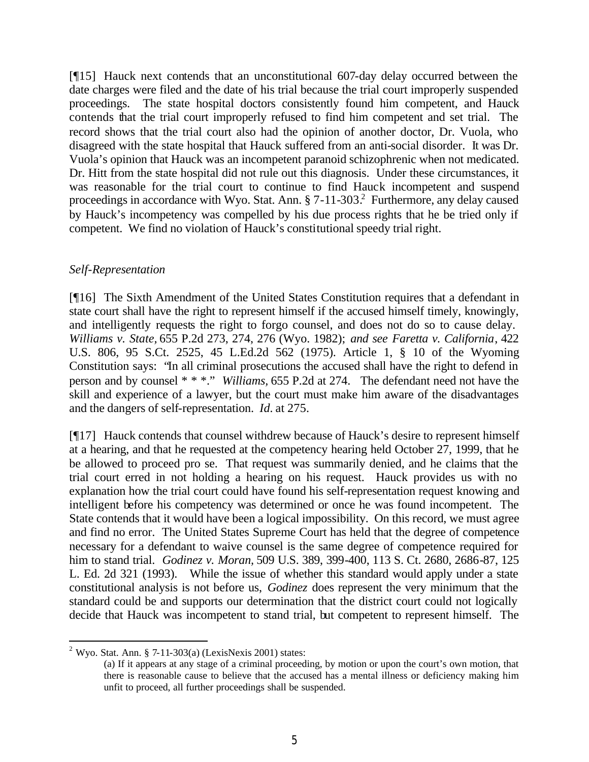[¶15] Hauck next contends that an unconstitutional 607-day delay occurred between the date charges were filed and the date of his trial because the trial court improperly suspended proceedings. The state hospital doctors consistently found him competent, and Hauck contends that the trial court improperly refused to find him competent and set trial. The record shows that the trial court also had the opinion of another doctor, Dr. Vuola, who disagreed with the state hospital that Hauck suffered from an anti-social disorder. It was Dr. Vuola's opinion that Hauck was an incompetent paranoid schizophrenic when not medicated. Dr. Hitt from the state hospital did not rule out this diagnosis. Under these circumstances, it was reasonable for the trial court to continue to find Hauck incompetent and suspend proceedings in accordance with Wyo. Stat. Ann. § 7-11-303.<sup>2</sup> Furthermore, any delay caused by Hauck's incompetency was compelled by his due process rights that he be tried only if competent. We find no violation of Hauck's constitutional speedy trial right.

### *Self-Representation*

[¶16] The Sixth Amendment of the United States Constitution requires that a defendant in state court shall have the right to represent himself if the accused himself timely, knowingly, and intelligently requests the right to forgo counsel, and does not do so to cause delay. *Williams v. State,* 655 P.2d 273, 274, 276 (Wyo. 1982); *and see Faretta v. California*, 422 U.S. 806, 95 S.Ct. 2525, 45 L.Ed.2d 562 (1975). Article 1, § 10 of the Wyoming Constitution says: "In all criminal prosecutions the accused shall have the right to defend in person and by counsel \* \* \*." *Williams,* 655 P.2d at 274. The defendant need not have the skill and experience of a lawyer, but the court must make him aware of the disadvantages and the dangers of self-representation. *Id.* at 275.

[¶17] Hauck contends that counsel withdrew because of Hauck's desire to represent himself at a hearing, and that he requested at the competency hearing held October 27, 1999, that he be allowed to proceed pro se. That request was summarily denied, and he claims that the trial court erred in not holding a hearing on his request. Hauck provides us with no explanation how the trial court could have found his self-representation request knowing and intelligent before his competency was determined or once he was found incompetent. The State contends that it would have been a logical impossibility. On this record, we must agree and find no error. The United States Supreme Court has held that the degree of competence necessary for a defendant to waive counsel is the same degree of competence required for him to stand trial. *Godinez v. Moran,* 509 U.S. 389, 399-400, 113 S. Ct. 2680, 2686-87, 125 L. Ed. 2d 321 (1993). While the issue of whether this standard would apply under a state constitutional analysis is not before us, *Godinez* does represent the very minimum that the standard could be and supports our determination that the district court could not logically decide that Hauck was incompetent to stand trial, but competent to represent himself. The

<sup>&</sup>lt;sup>2</sup> Wyo. Stat. Ann. § 7-11-303(a) (LexisNexis 2001) states:

<sup>(</sup>a) If it appears at any stage of a criminal proceeding, by motion or upon the court's own motion, that there is reasonable cause to believe that the accused has a mental illness or deficiency making him unfit to proceed, all further proceedings shall be suspended.